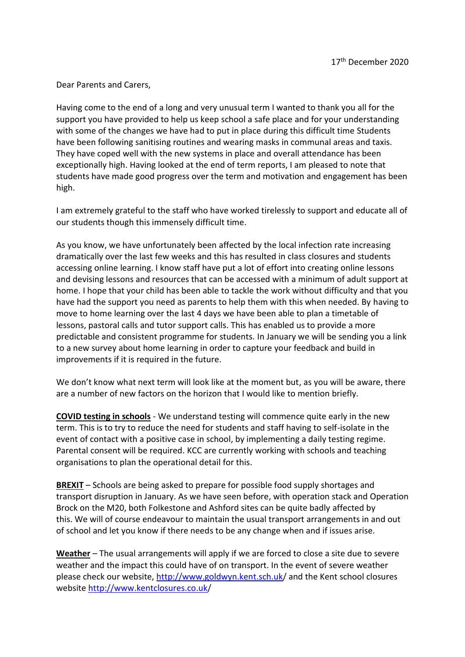Dear Parents and Carers,

Having come to the end of a long and very unusual term I wanted to thank you all for the support you have provided to help us keep school a safe place and for your understanding with some of the changes we have had to put in place during this difficult time Students have been following sanitising routines and wearing masks in communal areas and taxis. They have coped well with the new systems in place and overall attendance has been exceptionally high. Having looked at the end of term reports, I am pleased to note that students have made good progress over the term and motivation and engagement has been high.

I am extremely grateful to the staff who have worked tirelessly to support and educate all of our students though this immensely difficult time.

As you know, we have unfortunately been affected by the local infection rate increasing dramatically over the last few weeks and this has resulted in class closures and students accessing online learning. I know staff have put a lot of effort into creating online lessons and devising lessons and resources that can be accessed with a minimum of adult support at home. I hope that your child has been able to tackle the work without difficulty and that you have had the support you need as parents to help them with this when needed. By having to move to home learning over the last 4 days we have been able to plan a timetable of lessons, pastoral calls and tutor support calls. This has enabled us to provide a more predictable and consistent programme for students. In January we will be sending you a link to a new survey about home learning in order to capture your feedback and build in improvements if it is required in the future.

We don't know what next term will look like at the moment but, as you will be aware, there are a number of new factors on the horizon that I would like to mention briefly.

**COVID testing in schools** - We understand testing will commence quite early in the new term. This is to try to reduce the need for students and staff having to self-isolate in the event of contact with a positive case in school, by implementing a daily testing regime. Parental consent will be required. KCC are currently working with schools and teaching organisations to plan the operational detail for this.

**BREXIT** – Schools are being asked to prepare for possible food supply shortages and transport disruption in January. As we have seen before, with operation stack and Operation Brock on the M20, both Folkestone and Ashford sites can be quite badly affected by this. We will of course endeavour to maintain the usual transport arrangements in and out of school and let you know if there needs to be any change when and if issues arise.

**Weather** – The usual arrangements will apply if we are forced to close a site due to severe weather and the impact this could have of on transport. In the event of severe weather please check our website,<http://www.goldwyn.kent.sch.uk/> and the Kent school closures website <http://www.kentclosures.co.uk/>